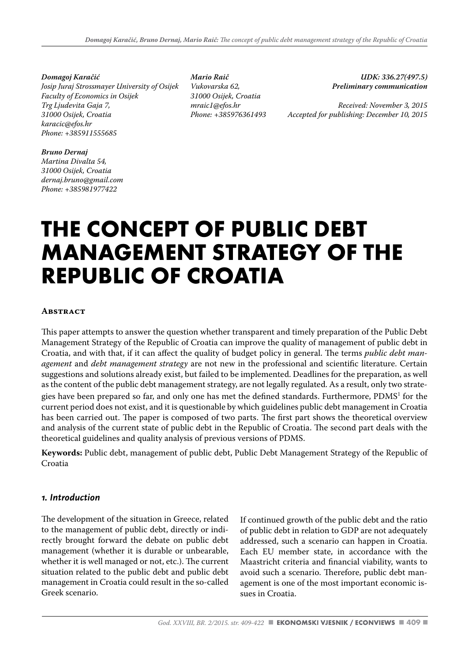*Domagoj Karačić Josip Juraj Strossmayer University of Osijek Faculty of Economics in Osijek Trg Ljudevita Gaja 7, 31000 Osijek, Croatia karacic@efos.hr Phone: +385911555685*

*Mario Raič Vukovarska 62, 31000 Osijek, Croatia mraic1@efos.hr Phone: +385976361493*

*UDK: 336.27(497.5) Preliminary communication* 

*Received: November 3, 2015 Accepted for publishing: December 10, 2015*

#### *Bruno Dernaj*

*Martina Divalta 54, 31000 Osijek, Croatia dernaj.bruno@gmail.com Phone: +385981977422*

# **THE CONCEPT OF PUBLIC DEBT MANAGEMENT STRATEGY OF THE REPUBLIC OF CROATIA**

#### **Abstract**

This paper attempts to answer the question whether transparent and timely preparation of the Public Debt Management Strategy of the Republic of Croatia can improve the quality of management of public debt in Croatia, and with that, if it can affect the quality of budget policy in general. The terms *public debt management* and *debt management strategy* are not new in the professional and scientific literature. Certain suggestions and solutions already exist, but failed to be implemented. Deadlines for the preparation, as well as the content of the public debt management strategy, are not legally regulated. As a result, only two strategies have been prepared so far, and only one has met the defined standards. Furthermore,  $\mathrm{PDMS}^1$  for the current period does not exist, and it is questionable by which guidelines public debt management in Croatia has been carried out. The paper is composed of two parts. The first part shows the theoretical overview and analysis of the current state of public debt in the Republic of Croatia. The second part deals with the theoretical guidelines and quality analysis of previous versions of PDMS.

**Keywords:** Public debt, management of public debt, Public Debt Management Strategy of the Republic of Croatia

#### *1. Introduction*

The development of the situation in Greece, related to the management of public debt, directly or indirectly brought forward the debate on public debt management (whether it is durable or unbearable, whether it is well managed or not, etc.). The current situation related to the public debt and public debt management in Croatia could result in the so-called Greek scenario.

If continued growth of the public debt and the ratio of public debt in relation to GDP are not adequately addressed, such a scenario can happen in Croatia. Each EU member state, in accordance with the Maastricht criteria and financial viability, wants to avoid such a scenario. Therefore, public debt management is one of the most important economic issues in Croatia.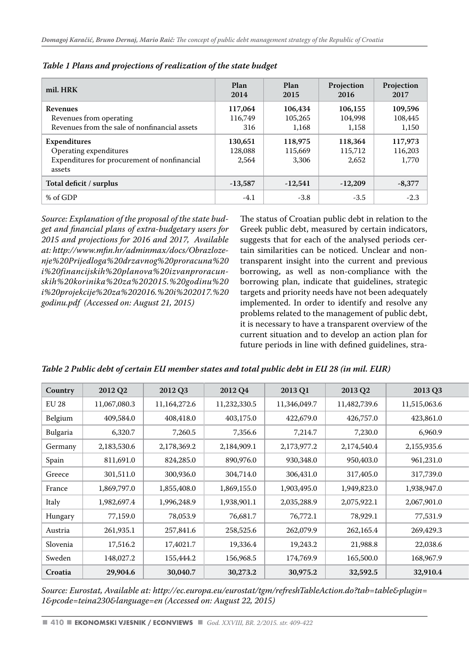| mil. HRK                                      | Plan<br>2014 | Plan<br>2015 | Projection<br>2016 | Projection<br>2017 |
|-----------------------------------------------|--------------|--------------|--------------------|--------------------|
| <b>Revenues</b>                               | 117,064      | 106,434      | 106,155            | 109,596            |
| Revenues from operating                       | 116,749      | 105,265      | 104,998            | 108,445            |
| Revenues from the sale of nonfinancial assets | 316          | 1.168        | 1.158              | 1,150              |
| Expenditures                                  | 130,651      | 118,975      | 118,364            | 117,973            |
| Operating expenditures                        | 128,088      | 115,669      | 115,712            | 116,203            |
| Expenditures for procurement of nonfinancial  | 2.564        | 3,306        | 2,652              | 1,770              |
| assets                                        |              |              |                    |                    |
| Total deficit / surplus                       | $-13,587$    | $-12,541$    | $-12,209$          | $-8,377$           |
| % of GDP                                      | $-4.1$       | $-3.8$       | $-3.5$             | $-2.3$             |

*Table 1 Plans and projections of realization of the state budget*

*Source: Explanation of the proposal of the state budget and financial plans of extra-budgetary users for 2015 and projections for 2016 and 2017, Available at: http://www.mfin.hr/adminmax/docs/Obrazlozenje%20Prijedloga%20drzavnog%20proracuna%20 i%20financijskih%20planova%20izvanproracunskih%20korinika%20za%202015.%20godinu%20 i%20projekcije%20za%202016.%20i%202017.%20 godinu.pdf (Accessed on: August 21, 2015)* 

The status of Croatian public debt in relation to the Greek public debt, measured by certain indicators, suggests that for each of the analysed periods certain similarities can be noticed. Unclear and nontransparent insight into the current and previous borrowing, as well as non-compliance with the borrowing plan, indicate that guidelines, strategic targets and priority needs have not been adequately implemented. In order to identify and resolve any problems related to the management of public debt, it is necessary to have a transparent overview of the current situation and to develop an action plan for future periods in line with defined guidelines, stra-

| Country  | 2012 Q2      | 2012 Q3      | 2012 Q4      | 2013 Q1      | 2013 Q2      | 2013 Q3      |
|----------|--------------|--------------|--------------|--------------|--------------|--------------|
| EU 28    | 11,067,080.3 | 11,164,272.6 | 11,232,330.5 | 11,346,049.7 | 11,482,739.6 | 11,515,063.6 |
| Belgium  | 409,584.0    | 408,418.0    | 403,175.0    | 422,679.0    | 426,757.0    | 423,861.0    |
| Bulgaria | 6,320.7      | 7,260.5      | 7,356.6      | 7,214.7      | 7,230.0      | 6,960.9      |
| Germany  | 2,183,530.6  | 2,178,369.2  | 2,184,909.1  | 2,173,977.2  | 2,174,540.4  | 2,155,935.6  |
| Spain    | 811,691.0    | 824,285.0    | 890,976.0    | 930,348.0    | 950,403.0    | 961,231.0    |
| Greece   | 301,511.0    | 300,936.0    | 304,714.0    | 306,431.0    | 317,405.0    | 317,739.0    |
| France   | 1,869,797.0  | 1,855,408.0  | 1,869,155.0  | 1,903,495.0  | 1,949,823.0  | 1,938,947.0  |
| Italy    | 1,982,697.4  | 1,996,248.9  | 1,938,901.1  | 2,035,288.9  | 2,075,922.1  | 2,067,901.0  |
| Hungary  | 77,159.0     | 78,053.9     | 76,681.7     | 76,772.1     | 78,929.1     | 77,531.9     |
| Austria  | 261,935.1    | 257,841.6    | 258,525.6    | 262,079.9    | 262,165.4    | 269,429.3    |
| Slovenia | 17,516.2     | 17,4021.7    | 19,336.4     | 19,243.2     | 21,988.8     | 22,038.6     |
| Sweden   | 148,027.2    | 155,444.2    | 156,968.5    | 174,769.9    | 165,500.0    | 168,967.9    |
| Croatia  | 29,904.6     | 30,040.7     | 30,273.2     | 30,975.2     | 32,592.5     | 32,910.4     |

*Table 2 Public debt of certain EU member states and total public debt in EU 28 (in mil. EUR)* 

*Source: Eurostat, Available at: http://ec.europa.eu/eurostat/tgm/refreshTableAction.do?tab=table&plugin= 1&pcode=teina230&language=en (Accessed on: August 22, 2015)*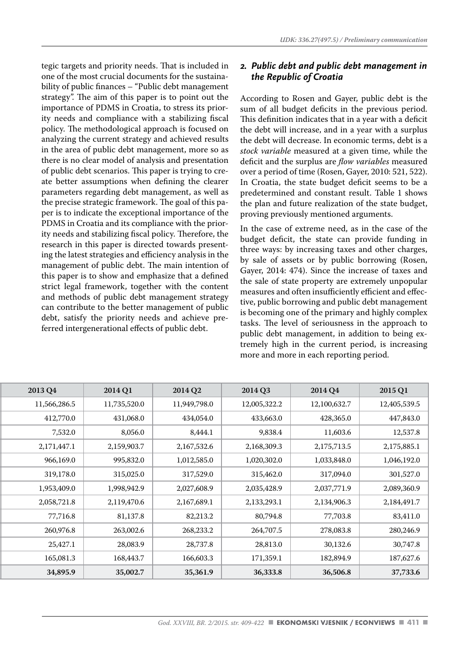tegic targets and priority needs. That is included in one of the most crucial documents for the sustainability of public finances – "Public debt management strategy". The aim of this paper is to point out the importance of PDMS in Croatia, to stress its priority needs and compliance with a stabilizing fiscal policy. The methodological approach is focused on analyzing the current strategy and achieved results in the area of public debt management, more so as there is no clear model of analysis and presentation of public debt scenarios. This paper is trying to create better assumptions when defining the clearer parameters regarding debt management, as well as the precise strategic framework. The goal of this paper is to indicate the exceptional importance of the PDMS in Croatia and its compliance with the priority needs and stabilizing fiscal policy. Therefore, the research in this paper is directed towards presenting the latest strategies and efficiency analysis in the management of public debt. The main intention of this paper is to show and emphasize that a defined strict legal framework, together with the content and methods of public debt management strategy can contribute to the better management of public debt, satisfy the priority needs and achieve preferred intergenerational effects of public debt.

### *2. Public debt and public debt management in the Republic of Croatia*

According to Rosen and Gayer, public debt is the sum of all budget deficits in the previous period. This definition indicates that in a year with a deficit the debt will increase, and in a year with a surplus the debt will decrease. In economic terms, debt is a *stock variable* measured at a given time, while the deficit and the surplus are *flow variables* measured over a period of time (Rosen, Gayer, 2010: 521, 522). In Croatia, the state budget deficit seems to be a predetermined and constant result. Table 1 shows the plan and future realization of the state budget, proving previously mentioned arguments.

In the case of extreme need, as in the case of the budget deficit, the state can provide funding in three ways: by increasing taxes and other charges, by sale of assets or by public borrowing (Rosen, Gayer, 2014: 474). Since the increase of taxes and the sale of state property are extremely unpopular measures and often insufficiently efficient and effective, public borrowing and public debt management is becoming one of the primary and highly complex tasks. The level of seriousness in the approach to public debt management, in addition to being extremely high in the current period, is increasing more and more in each reporting period.

| 2015 Q1      | 2014 Q4      | 2014 Q3      | 2014 Q2      | 2014 Q1      | 2013 Q4      |
|--------------|--------------|--------------|--------------|--------------|--------------|
| 12,405,539.5 | 12,100,632.7 | 12,005,322.2 | 11,949,798.0 | 11,735,520.0 | 11,566,286.5 |
| 447,843.0    | 428,365.0    | 433,663.0    | 434,054.0    | 431,068.0    | 412,770.0    |
| 12,537.8     | 11,603.6     | 9,838.4      | 8,444.1      | 8,056.0      | 7,532.0      |
| 2,175,885.1  | 2,175,713.5  | 2,168,309.3  | 2,167,532.6  | 2,159,903.7  | 2,171,447.1  |
| 1,046,192.0  | 1,033,848.0  | 1,020,302.0  | 1,012,585.0  | 995,832.0    | 966,169.0    |
| 301,527.0    | 317,094.0    | 315,462.0    | 317,529.0    | 315,025.0    | 319,178.0    |
| 2,089,360.9  | 2,037,771.9  | 2,035,428.9  | 2,027,608.9  | 1,998,942.9  | 1,953,409.0  |
| 2,184,491.7  | 2,134,906.3  | 2,133,293.1  | 2,167,689.1  | 2,119,470.6  | 2,058,721.8  |
| 83,411.0     | 77,703.8     | 80,794.8     | 82,213.2     | 81,137.8     | 77,716.8     |
| 280,246.9    | 278,083.8    | 264,707.5    | 268,233.2    | 263,002.6    | 260,976.8    |
| 30,747.8     | 30,132.6     | 28,813.0     | 28,737.8     | 28,083.9     | 25,427.1     |
| 187,627.6    | 182,894.9    | 171,359.1    | 166,603.3    | 168,443.7    | 165,081.3    |
| 37,733.6     | 36,506.8     | 36,333.8     | 35,361.9     | 35,002.7     | 34,895.9     |
|              |              |              |              |              |              |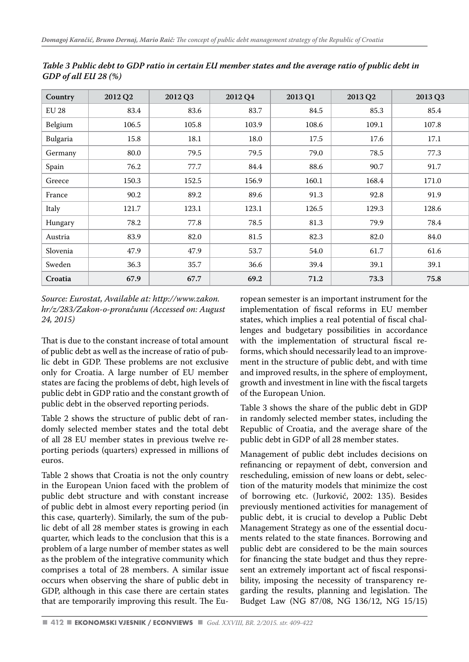| Country  | 2012 Q2 | 2012 Q3 | 2012 Q4 | 2013 Q1 | 2013 Q2 | 2013 Q3 |
|----------|---------|---------|---------|---------|---------|---------|
| EU 28    | 83.4    | 83.6    | 83.7    | 84.5    | 85.3    | 85.4    |
| Belgium  | 106.5   | 105.8   | 103.9   | 108.6   | 109.1   | 107.8   |
| Bulgaria | 15.8    | 18.1    | 18.0    | 17.5    | 17.6    | 17.1    |
| Germany  | 80.0    | 79.5    | 79.5    | 79.0    | 78.5    | 77.3    |
| Spain    | 76.2    | 77.7    | 84.4    | 88.6    | 90.7    | 91.7    |
| Greece   | 150.3   | 152.5   | 156.9   | 160.1   | 168.4   | 171.0   |
| France   | 90.2    | 89.2    | 89.6    | 91.3    | 92.8    | 91.9    |
| Italy    | 121.7   | 123.1   | 123.1   | 126.5   | 129.3   | 128.6   |
| Hungary  | 78.2    | 77.8    | 78.5    | 81.3    | 79.9    | 78.4    |
| Austria  | 83.9    | 82.0    | 81.5    | 82.3    | 82.0    | 84.0    |
| Slovenia | 47.9    | 47.9    | 53.7    | 54.0    | 61.7    | 61.6    |
| Sweden   | 36.3    | 35.7    | 36.6    | 39.4    | 39.1    | 39.1    |
| Croatia  | 67.9    | 67.7    | 69.2    | 71.2    | 73.3    | 75.8    |

*Table 3 Public debt to GDP ratio in certain EU member states and the average ratio of public debt in GDP of all EU 28 (%)* 

*Source: Eurostat, Available at: http://www.zakon. hr/z/283/Zakon-o-proračunu (Accessed on: August 24, 2015)*

That is due to the constant increase of total amount of public debt as well as the increase of ratio of public debt in GDP. These problems are not exclusive only for Croatia. A large number of EU member states are facing the problems of debt, high levels of public debt in GDP ratio and the constant growth of public debt in the observed reporting periods.

Table 2 shows the structure of public debt of randomly selected member states and the total debt of all 28 EU member states in previous twelve reporting periods (quarters) expressed in millions of euros.

Table 2 shows that Croatia is not the only country in the European Union faced with the problem of public debt structure and with constant increase of public debt in almost every reporting period (in this case, quarterly). Similarly, the sum of the public debt of all 28 member states is growing in each quarter, which leads to the conclusion that this is a problem of a large number of member states as well as the problem of the integrative community which comprises a total of 28 members. A similar issue occurs when observing the share of public debt in GDP, although in this case there are certain states that are temporarily improving this result. The European semester is an important instrument for the implementation of fiscal reforms in EU member states, which implies a real potential of fiscal challenges and budgetary possibilities in accordance with the implementation of structural fiscal reforms, which should necessarily lead to an improvement in the structure of public debt, and with time and improved results, in the sphere of employment, growth and investment in line with the fiscal targets of the European Union.

Table 3 shows the share of the public debt in GDP in randomly selected member states, including the Republic of Croatia, and the average share of the public debt in GDP of all 28 member states.

Management of public debt includes decisions on refinancing or repayment of debt, conversion and rescheduling, emission of new loans or debt, selection of the maturity models that minimize the cost of borrowing etc. (Jurković, 2002: 135). Besides previously mentioned activities for management of public debt, it is crucial to develop a Public Debt Management Strategy as one of the essential documents related to the state finances. Borrowing and public debt are considered to be the main sources for financing the state budget and thus they represent an extremely important act of fiscal responsibility, imposing the necessity of transparency regarding the results, planning and legislation. The Budget Law (NG 87/08, NG 136/12, NG 15/15)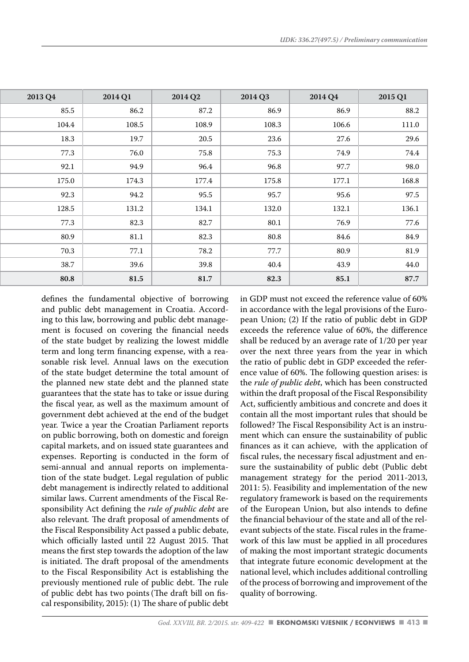| 2013 Q4 | 2014 Q1 | 2014 Q2 | 2014 Q3 | 2014 Q4 | 2015 Q1 |
|---------|---------|---------|---------|---------|---------|
| 85.5    | 86.2    | 87.2    | 86.9    | 86.9    | 88.2    |
| 104.4   | 108.5   | 108.9   | 108.3   | 106.6   | 111.0   |
| 18.3    | 19.7    | 20.5    | 23.6    | 27.6    | 29.6    |
| 77.3    | 76.0    | 75.8    | 75.3    | 74.9    | 74.4    |
| 92.1    | 94.9    | 96.4    | 96.8    | 97.7    | 98.0    |
| 175.0   | 174.3   | 177.4   | 175.8   | 177.1   | 168.8   |
| 92.3    | 94.2    | 95.5    | 95.7    | 95.6    | 97.5    |
| 128.5   | 131.2   | 134.1   | 132.0   | 132.1   | 136.1   |
| 77.3    | 82.3    | 82.7    | 80.1    | 76.9    | 77.6    |
| 80.9    | 81.1    | 82.3    | 80.8    | 84.6    | 84.9    |
| 70.3    | 77.1    | 78.2    | 77.7    | 80.9    | 81.9    |
| 38.7    | 39.6    | 39.8    | 40.4    | 43.9    | 44.0    |
| 80.8    | 81.5    | 81.7    | 82.3    | 85.1    | 87.7    |

defines the fundamental objective of borrowing and public debt management in Croatia. According to this law, borrowing and public debt management is focused on covering the financial needs of the state budget by realizing the lowest middle term and long term financing expense, with a reasonable risk level. Annual laws on the execution of the state budget determine the total amount of the planned new state debt and the planned state guarantees that the state has to take or issue during the fiscal year, as well as the maximum amount of government debt achieved at the end of the budget year. Twice a year the Croatian Parliament reports on public borrowing, both on domestic and foreign capital markets, and on issued state guarantees and expenses. Reporting is conducted in the form of semi-annual and annual reports on implementation of the state budget. Legal regulation of public debt management is indirectly related to additional similar laws. Current amendments of the Fiscal Responsibility Act defining the *rule of public debt* are also relevant*.* The draft proposal of amendments of the Fiscal Responsibility Act passed a public debate, which officially lasted until 22 August 2015. That means the first step towards the adoption of the law is initiated. The draft proposal of the amendments to the Fiscal Responsibility Act is establishing the previously mentioned rule of public debt. The rule of public debt has two points(The draft bill on fiscal responsibility, 2015): (1) The share of public debt in GDP must not exceed the reference value of 60% in accordance with the legal provisions of the European Union; (2) If the ratio of public debt in GDP exceeds the reference value of 60%, the difference shall be reduced by an average rate of 1/20 per year over the next three years from the year in which the ratio of public debt in GDP exceeded the reference value of 60%. The following question arises: is the *rule of public debt*, which has been constructed within the draft proposal of the Fiscal Responsibility Act, sufficiently ambitious and concrete and does it contain all the most important rules that should be followed? The Fiscal Responsibility Act is an instrument which can ensure the sustainability of public finances as it can achieve, with the application of fiscal rules, the necessary fiscal adjustment and ensure the sustainability of public debt (Public debt management strategy for the period 2011-2013, 2011: 5). Feasibility and implementation of the new regulatory framework is based on the requirements of the European Union, but also intends to define the financial behaviour of the state and all of the relevant subjects of the state. Fiscal rules in the framework of this law must be applied in all procedures of making the most important strategic documents that integrate future economic development at the national level, which includes additional controlling of the process of borrowing and improvement of the quality of borrowing.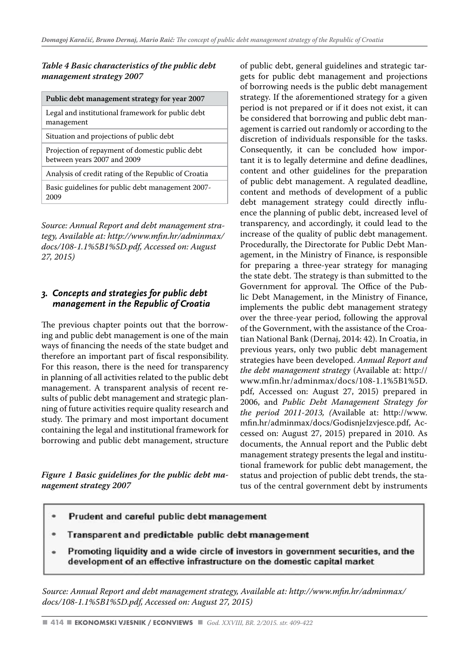#### *Table 4 Basic characteristics of the public debt management strategy 2007*

| Public debt management strategy for year 2007                                  |
|--------------------------------------------------------------------------------|
| Legal and institutional framework for public debt<br>management                |
| Situation and projections of public debt                                       |
| Projection of repayment of domestic public debt<br>between years 2007 and 2009 |
| Analysis of credit rating of the Republic of Croatia                           |
| Basic guidelines for public debt management 2007-<br>2009                      |

*Source: Annual Report and debt management strategy, Available at: http://www.mfin.hr/adminmax/ docs/108-1.1%5B1%5D.pdf, Accessed on: August 27, 2015)*

## *3. Concepts and strategies for public debt management in the Republic of Croatia*

The previous chapter points out that the borrowing and public debt management is one of the main ways of financing the needs of the state budget and therefore an important part of fiscal responsibility. For this reason, there is the need for transparency in planning of all activities related to the public debt management. A transparent analysis of recent results of public debt management and strategic planning of future activities require quality research and study. The primary and most important document containing the legal and institutional framework for borrowing and public debt management, structure

*Figure 1 Basic guidelines for the public debt management strategy 2007* 

of public debt, general guidelines and strategic targets for public debt management and projections of borrowing needs is the public debt management strategy. If the aforementioned strategy for a given period is not prepared or if it does not exist, it can be considered that borrowing and public debt management is carried out randomly or according to the discretion of individuals responsible for the tasks. Consequently, it can be concluded how important it is to legally determine and define deadlines, content and other guidelines for the preparation of public debt management. A regulated deadline, content and methods of development of a public debt management strategy could directly influence the planning of public debt, increased level of transparency, and accordingly, it could lead to the increase of the quality of public debt management. Procedurally, the Directorate for Public Debt Management, in the Ministry of Finance, is responsible for preparing a three-year strategy for managing the state debt. The strategy is than submitted to the Government for approval. The Office of the Public Debt Management, in the Ministry of Finance, implements the public debt management strategy over the three-year period, following the approval of the Government, with the assistance of the Croatian National Bank (Dernaj, 2014: 42). In Croatia, in previous years, only two public debt management strategies have been developed. *Annual Report and the debt management strategy* (Available at: http:// www.mfin.hr/adminmax/docs/108-1.1%5B1%5D. pdf, Accessed on: August 27, 2015) prepared in 2006, and *Public Debt Management Strategy for the period 2011-2013, (*Available at: http://www. mfin.hr/adminmax/docs/GodisnjeIzvjesce.pdf, Accessed on: August 27, 2015) prepared in 2010. As documents, the Annual report and the Public debt management strategy presents the legal and institutional framework for public debt management, the status and projection of public debt trends, the status of the central government debt by instruments

- Prudent and careful public debt management
- Transparent and predictable public debt management
- Promoting liquidity and a wide circle of investors in government securities, and the development of an effective infrastructure on the domestic capital market

*Source: Annual Report and debt management strategy, Available at: http://www.mfin.hr/adminmax/ docs/108-1.1%5B1%5D.pdf, Accessed on: August 27, 2015)*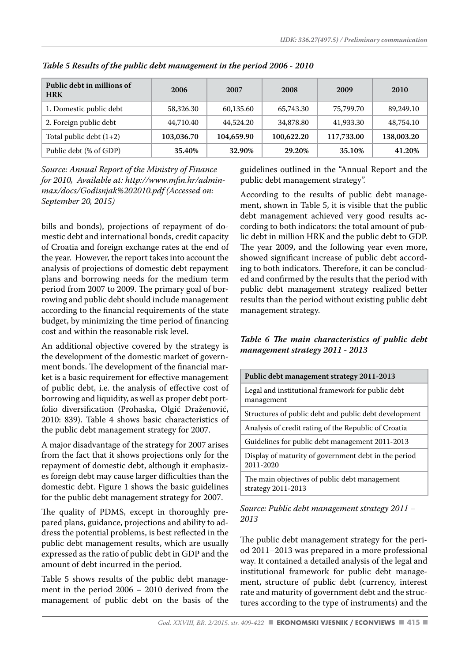| Public debt in millions of<br><b>HRK</b> | 2006       | 2007       | 2008       | 2009       | 2010       |
|------------------------------------------|------------|------------|------------|------------|------------|
| 1. Domestic public debt                  | 58,326.30  | 60,135.60  | 65,743.30  | 75,799.70  | 89,249.10  |
| 2. Foreign public debt                   | 44,710.40  | 44,524.20  | 34,878.80  | 41,933.30  | 48,754.10  |
| Total public debt $(1+2)$                | 103,036.70 | 104,659.90 | 100,622.20 | 117,733.00 | 138,003.20 |
| Public debt (% of GDP)                   | 35.40%     | 32.90%     | 29.20%     | 35.10%     | 41.20%     |

*Table 5 Results of the public debt management in the period 2006 - 2010*

*Source: Annual Report of the Ministry of Finance for 2010, Available at: http://www.mfin.hr/adminmax/docs/Godisnjak%202010.pdf (Accessed on: September 20, 2015)* 

bills and bonds), projections of repayment of domestic debt and international bonds, credit capacity of Croatia and foreign exchange rates at the end of the year. However, the report takes into account the analysis of projections of domestic debt repayment plans and borrowing needs for the medium term period from 2007 to 2009. The primary goal of borrowing and public debt should include management according to the financial requirements of the state budget, by minimizing the time period of financing cost and within the reasonable risk level.

An additional objective covered by the strategy is the development of the domestic market of government bonds. The development of the financial market is a basic requirement for effective management of public debt, i.e. the analysis of effective cost of borrowing and liquidity, as well as proper debt portfolio diversification (Prohaska, Olgić Draženović, 2010: 839). Table 4 shows basic characteristics of the public debt management strategy for 2007.

A major disadvantage of the strategy for 2007 arises from the fact that it shows projections only for the repayment of domestic debt, although it emphasizes foreign debt may cause larger difficulties than the domestic debt. Figure 1 shows the basic guidelines for the public debt management strategy for 2007.

The quality of PDMS, except in thoroughly prepared plans, guidance, projections and ability to address the potential problems, is best reflected in the public debt management results, which are usually expressed as the ratio of public debt in GDP and the amount of debt incurred in the period.

Table 5 shows results of the public debt management in the period 2006 – 2010 derived from the management of public debt on the basis of the guidelines outlined in the "Annual Report and the public debt management strategy".

According to the results of public debt management, shown in Table 5, it is visible that the public debt management achieved very good results according to both indicators: the total amount of public debt in million HRK and the public debt to GDP. The year 2009, and the following year even more, showed significant increase of public debt according to both indicators. Therefore, it can be concluded and confirmed by the results that the period with public debt management strategy realized better results than the period without existing public debt management strategy.

### *Table 6 The main characteristics of public debt management strategy 2011 - 2013*

| Public debt management strategy 2011-2013                           |
|---------------------------------------------------------------------|
| Legal and institutional framework for public debt<br>management     |
| Structures of public debt and public debt development               |
| Analysis of credit rating of the Republic of Croatia                |
| Guidelines for public debt management 2011-2013                     |
| Display of maturity of government debt in the period<br>2011-2020   |
| The main objectives of public debt management<br>strategy 2011-2013 |
|                                                                     |

#### *Source: Public debt management strategy 2011 – 2013*

The public debt management strategy for the period 2011–2013 was prepared in a more professional way. It contained a detailed analysis of the legal and institutional framework for public debt management, structure of public debt (currency, interest rate and maturity of government debt and the structures according to the type of instruments) and the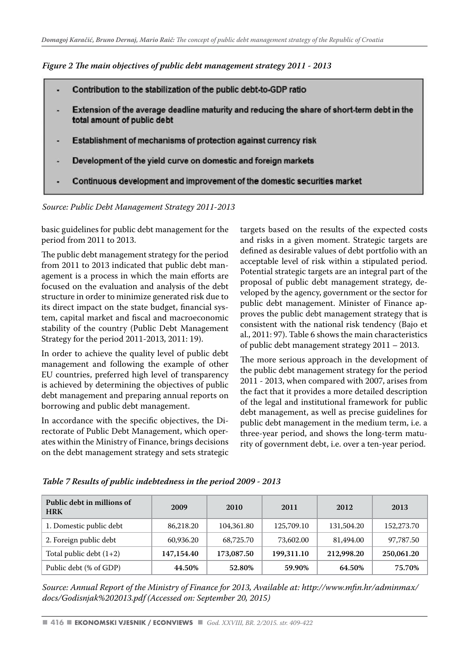*Figure 2 The main objectives of public debt management strategy 2011 - 2013*



*Source: Public Debt Management Strategy 2011-2013* 

basic guidelines for public debt management for the period from 2011 to 2013.

The public debt management strategy for the period from 2011 to 2013 indicated that public debt management is a process in which the main efforts are focused on the evaluation and analysis of the debt structure in order to minimize generated risk due to its direct impact on the state budget, financial system, capital market and fiscal and macroeconomic stability of the country (Public Debt Management Strategy for the period 2011-2013, 2011: 19).

In order to achieve the quality level of public debt management and following the example of other EU countries, preferred high level of transparency is achieved by determining the objectives of public debt management and preparing annual reports on borrowing and public debt management.

In accordance with the specific objectives, the Directorate of Public Debt Management, which operates within the Ministry of Finance, brings decisions on the debt management strategy and sets strategic targets based on the results of the expected costs and risks in a given moment. Strategic targets are defined as desirable values of debt portfolio with an acceptable level of risk within a stipulated period. Potential strategic targets are an integral part of the proposal of public debt management strategy, developed by the agency, government or the sector for public debt management. Minister of Finance approves the public debt management strategy that is consistent with the national risk tendency (Bajo et al., 2011: 97). Table 6 shows the main characteristics of public debt management strategy 2011 – 2013.

The more serious approach in the development of the public debt management strategy for the period 2011 - 2013, when compared with 2007, arises from the fact that it provides a more detailed description of the legal and institutional framework for public debt management, as well as precise guidelines for public debt management in the medium term, i.e. a three-year period, and shows the long-term maturity of government debt, i.e. over a ten-year period.

| Public debt in millions of<br><b>HRK</b> | 2009       | 2010       | 2011       | 2012       | 2013       |
|------------------------------------------|------------|------------|------------|------------|------------|
| 1. Domestic public debt                  | 86,218.20  | 104.361.80 | 125,709.10 | 131,504.20 | 152,273.70 |
| 2. Foreign public debt                   | 60,936.20  | 68,725.70  | 73,602.00  | 81,494.00  | 97,787.50  |
| Total public debt $(1+2)$                | 147,154.40 | 173,087.50 | 199,311.10 | 212,998.20 | 250,061.20 |
| Public debt (% of GDP)                   | 44.50%     | 52.80%     | 59.90%     | 64.50%     | 75.70%     |

*Table 7 Results of public indebtedness in the period 2009 - 2013*

*Source: Annual Report of the Ministry of Finance for 2013, Available at: http://www.mfin.hr/adminmax/ docs/Godisnjak%202013.pdf (Accessed on: September 20, 2015)*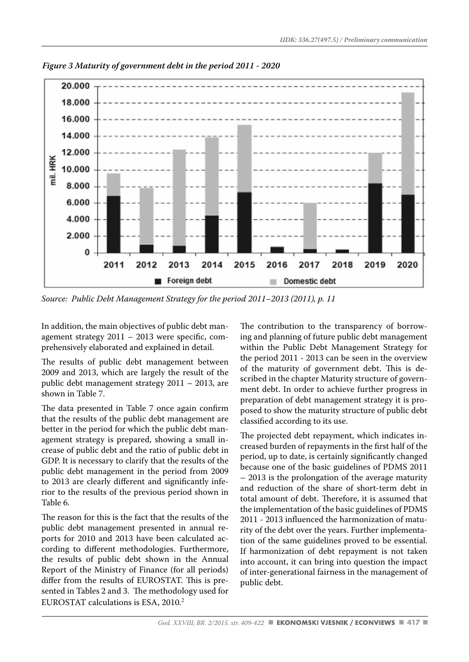

*Figure 3 Maturity of government debt in the period 2011 - 2020*

*Source: Public Debt Management Strategy for the period 2011–2013 (2011), p. 11*

In addition, the main objectives of public debt management strategy 2011 – 2013 were specific, comprehensively elaborated and explained in detail.

The results of public debt management between 2009 and 2013, which are largely the result of the public debt management strategy 2011 – 2013, are shown in Table 7.

The data presented in Table 7 once again confirm that the results of the public debt management are better in the period for which the public debt management strategy is prepared, showing a small increase of public debt and the ratio of public debt in GDP. It is necessary to clarify that the results of the public debt management in the period from 2009 to 2013 are clearly different and significantly inferior to the results of the previous period shown in Table 6.

The reason for this is the fact that the results of the public debt management presented in annual reports for 2010 and 2013 have been calculated according to different methodologies. Furthermore, the results of public debt shown in the Annual Report of the Ministry of Finance (for all periods) differ from the results of EUROSTAT. This is presented in Tables 2 and 3. The methodology used for EUROSTAT calculations is ESA, 2010.<sup>2</sup>

The contribution to the transparency of borrowing and planning of future public debt management within the Public Debt Management Strategy for the period 2011 - 2013 can be seen in the overview of the maturity of government debt. This is described in the chapter Maturity structure of government debt. In order to achieve further progress in preparation of debt management strategy it is proposed to show the maturity structure of public debt classified according to its use.

The projected debt repayment, which indicates increased burden of repayments in the first half of the period, up to date, is certainly significantly changed because one of the basic guidelines of PDMS 2011 – 2013 is the prolongation of the average maturity and reduction of the share of short-term debt in total amount of debt. Therefore, it is assumed that the implementation of the basic guidelines of PDMS 2011 - 2013 influenced the harmonization of maturity of the debt over the years. Further implementation of the same guidelines proved to be essential. If harmonization of debt repayment is not taken into account, it can bring into question the impact of inter-generational fairness in the management of public debt.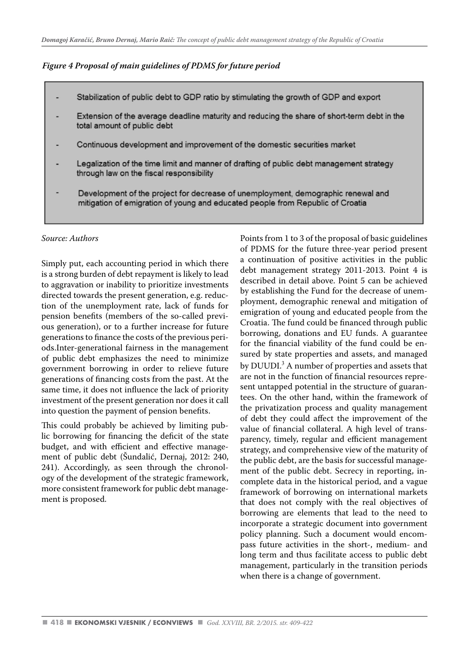*Figure 4 Proposal of main guidelines of PDMS for future period* 

- Stabilization of public debt to GDP ratio by stimulating the growth of GDP and export
- Extension of the average deadline maturity and reducing the share of short-term debt in the total amount of public debt
- Continuous development and improvement of the domestic securities market
- Legalization of the time limit and manner of drafting of public debt management strategy through law on the fiscal responsibility
- Development of the project for decrease of unemployment, demographic renewal and mitigation of emigration of young and educated people from Republic of Croatia

#### *Source: Authors*

Simply put, each accounting period in which there is a strong burden of debt repayment is likely to lead to aggravation or inability to prioritize investments directed towards the present generation, e.g. reduction of the unemployment rate, lack of funds for pension benefits (members of the so-called previous generation), or to a further increase for future generations to finance the costs of the previous periods.Inter-generational fairness in the management of public debt emphasizes the need to minimize government borrowing in order to relieve future generations of financing costs from the past. At the same time, it does not influence the lack of priority investment of the present generation nor does it call into question the payment of pension benefits.

This could probably be achieved by limiting public borrowing for financing the deficit of the state budget, and with efficient and effective management of public debt (Šundalić, Dernaj, 2012: 240, 241). Accordingly, as seen through the chronology of the development of the strategic framework, more consistent framework for public debt management is proposed.

Points from 1 to 3 of the proposal of basic guidelines of PDMS for the future three-year period present a continuation of positive activities in the public debt management strategy 2011-2013. Point 4 is described in detail above. Point 5 can be achieved by establishing the Fund for the decrease of unemployment, demographic renewal and mitigation of emigration of young and educated people from the Croatia. The fund could be financed through public borrowing, donations and EU funds. A guarantee for the financial viability of the fund could be ensured by state properties and assets, and managed by DUUDI.<sup>3</sup> A number of properties and assets that are not in the function of financial resources represent untapped potential in the structure of guarantees. On the other hand, within the framework of the privatization process and quality management of debt they could affect the improvement of the value of financial collateral. A high level of transparency, timely, regular and efficient management strategy, and comprehensive view of the maturity of the public debt, are the basis for successful management of the public debt. Secrecy in reporting, incomplete data in the historical period, and a vague framework of borrowing on international markets that does not comply with the real objectives of borrowing are elements that lead to the need to incorporate a strategic document into government policy planning. Such a document would encompass future activities in the short-, medium- and long term and thus facilitate access to public debt management, particularly in the transition periods when there is a change of government.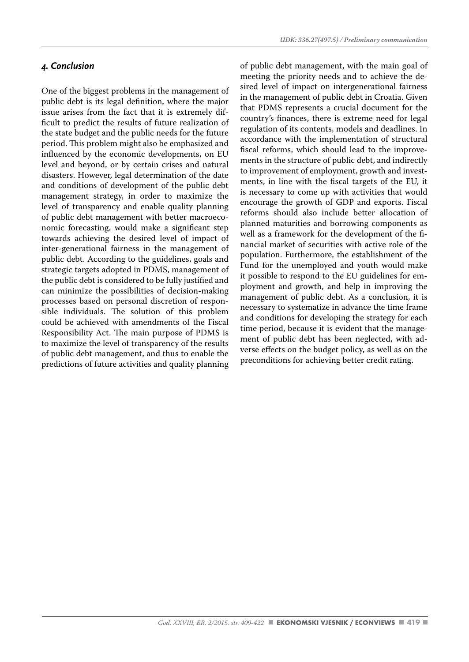# *4. Conclusion*

One of the biggest problems in the management of public debt is its legal definition, where the major issue arises from the fact that it is extremely difficult to predict the results of future realization of the state budget and the public needs for the future period. This problem might also be emphasized and influenced by the economic developments, on EU level and beyond, or by certain crises and natural disasters. However, legal determination of the date and conditions of development of the public debt management strategy, in order to maximize the level of transparency and enable quality planning of public debt management with better macroeconomic forecasting, would make a significant step towards achieving the desired level of impact of inter-generational fairness in the management of public debt. According to the guidelines, goals and strategic targets adopted in PDMS, management of the public debt is considered to be fully justified and can minimize the possibilities of decision-making processes based on personal discretion of responsible individuals. The solution of this problem could be achieved with amendments of the Fiscal Responsibility Act. The main purpose of PDMS is to maximize the level of transparency of the results of public debt management, and thus to enable the predictions of future activities and quality planning of public debt management, with the main goal of meeting the priority needs and to achieve the desired level of impact on intergenerational fairness in the management of public debt in Croatia. Given that PDMS represents a crucial document for the country's finances, there is extreme need for legal regulation of its contents, models and deadlines. In accordance with the implementation of structural fiscal reforms, which should lead to the improvements in the structure of public debt, and indirectly to improvement of employment, growth and investments, in line with the fiscal targets of the EU, it is necessary to come up with activities that would encourage the growth of GDP and exports. Fiscal reforms should also include better allocation of planned maturities and borrowing components as well as a framework for the development of the financial market of securities with active role of the population. Furthermore, the establishment of the Fund for the unemployed and youth would make it possible to respond to the EU guidelines for employment and growth, and help in improving the management of public debt. As a conclusion, it is necessary to systematize in advance the time frame and conditions for developing the strategy for each time period, because it is evident that the management of public debt has been neglected, with adverse effects on the budget policy, as well as on the preconditions for achieving better credit rating.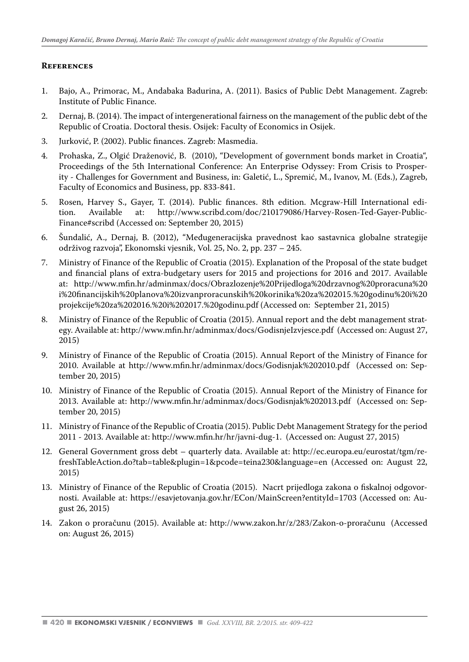#### **References**

- 1. Bajo, A., Primorac, M., Andabaka Badurina, A. (2011). Basics of Public Debt Management. Zagreb: Institute of Public Finance.
- 2. Dernaj, B. (2014). The impact of intergenerational fairness on the management of the public debt of the Republic of Croatia. Doctoral thesis. Osijek: Faculty of Economics in Osijek.
- 3. Jurković, P. (2002). Public finances. Zagreb: Masmedia.
- 4. Prohaska, Z., Olgić Draženović, B. (2010), "Development of government bonds market in Croatia", Proceedings of the 5th International Conference: An Enterprise Odyssey: From Crisis to Prosperity - Challenges for Government and Business, in: Galetić, L., Spremić, M., Ivanov, M. (Eds.), Zagreb, Faculty of Economics and Business, pp. 833-841.
- 5. Rosen, Harvey S., Gayer, T. (2014). Public finances. 8th edition. Mcgraw-Hill International edihttp://www.scribd.com/doc/210179086/Harvey-Rosen-Ted-Gayer-Public-Finance#scribd (Accessed on: September 20, 2015)
- 6. Šundalić, A., Dernaj, B. (2012), "Međugeneracijska pravednost kao sastavnica globalne strategije održivog razvoja", Ekonomski vjesnik, Vol. 25, No. 2, pp. 237 – 245.
- 7. Ministry of Finance of the Republic of Croatia (2015). Explanation of the Proposal of the state budget and financial plans of extra-budgetary users for 2015 and projections for 2016 and 2017. Available at: http://www.mfin.hr/adminmax/docs/Obrazlozenje%20Prijedloga%20drzavnog%20proracuna%20 i%20financijskih%20planova%20izvanproracunskih%20korinika%20za%202015.%20godinu%20i%20 projekcije%20za%202016.%20i%202017.%20godinu.pdf (Accessed on: September 21, 2015)
- 8. Ministry of Finance of the Republic of Croatia (2015). Annual report and the debt management strategy. Available at: http://www.mfin.hr/adminmax/docs/GodisnjeIzvjesce.pdf (Accessed on: August 27, 2015)
- 9. Ministry of Finance of the Republic of Croatia (2015). Annual Report of the Ministry of Finance for 2010. Available at http://www.mfin.hr/adminmax/docs/Godisnjak%202010.pdf (Accessed on: September 20, 2015)
- 10. Ministry of Finance of the Republic of Croatia (2015). Annual Report of the Ministry of Finance for 2013. Available at: http://www.mfin.hr/adminmax/docs/Godisnjak%202013.pdf (Accessed on: September 20, 2015)
- 11. Ministry of Finance of the Republic of Croatia (2015). Public Debt Management Strategy for the period 2011 - 2013. Available at: http://www.mfin.hr/hr/javni-dug-1. (Accessed on: August 27, 2015)
- 12. General Government gross debt quarterly data. Available at: http://ec.europa.eu/eurostat/tgm/refreshTableAction.do?tab=table&plugin=1&pcode=teina230&language=en (Accessed on: August 22, 2015)
- 13. Ministry of Finance of the Republic of Croatia (2015). Nacrt prijedloga zakona o fiskalnoj odgovornosti. Available at: https://esavjetovanja.gov.hr/ECon/MainScreen?entityId=1703 (Accessed on: August 26, 2015)
- 14. Zakon o proračunu (2015). Available at: http://www.zakon.hr/z/283/Zakon-o-proračunu (Accessed on: August 26, 2015)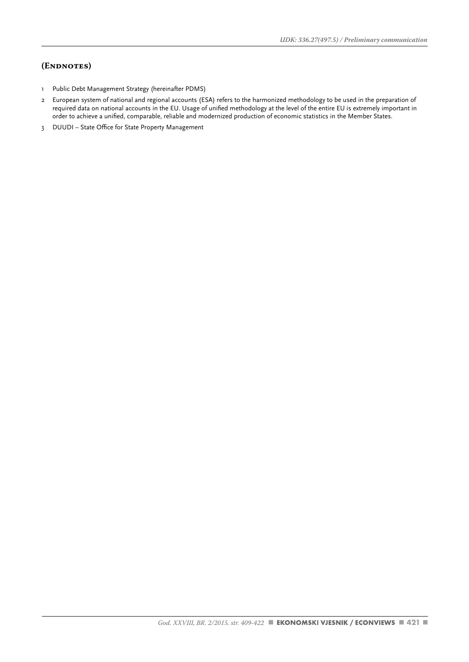# **(Endnotes)**

- 1 Public Debt Management Strategy (hereinafter PDMS)
- 2 European system of national and regional accounts (ESA) refers to the harmonized methodology to be used in the preparation of required data on national accounts in the EU. Usage of unified methodology at the level of the entire EU is extremely important in order to achieve a unified, comparable, reliable and modernized production of economic statistics in the Member States.
- 3 DUUDI State Office for State Property Management